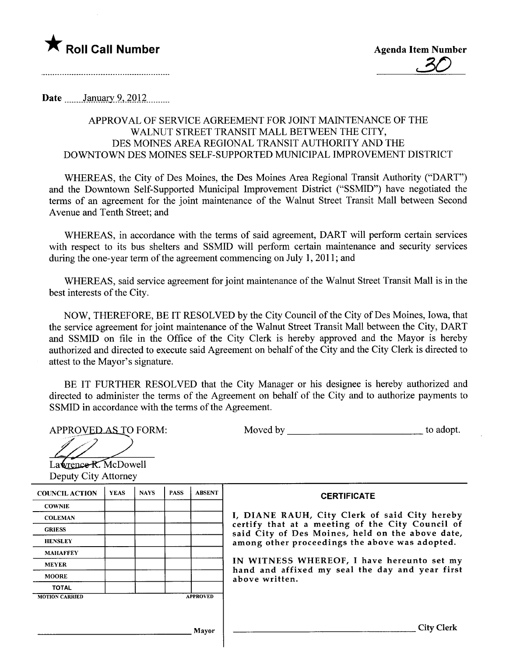

Date  $\frac{\text{January } 9,2012}{\text{January } 1000}$ 

## APPROVAL OF SERVICE AGREEMENT FOR JOINT MAINTENANCE OF THE WALNUT STREET TRANSIT MALL BETWEEN THE CITY, DES MOINES AREA REGIONAL TRANSIT AUTHORITY AND THE DOWNTOWN DES MOINES SELF-SUPPORTED MUNICIPAL IMPROVEMENT DISTRICT

WHEREAS, the City of Des Moines, the Des Moines Area Regional Transit Authority ("DART") and the Downtown Self-Supported Municipal Improvement District ("SSMID") have negotiated the terms of an agreement for the joint maintenance of the Walnut Street Transit Mall between Second Avenue and Tenth Street; and

WHEREAS, in accordance with the terms of said agreement, DART will perform certain services with respect to its bus shelters and SSMID will perform certain maintenance and security services during the one-year term of the agreement commencing on July 1, 2011; and

WHEREAS, said service agreement for joint maintenance of the Walnut Street Transit Mall is in the best interests of the City.

NOW, THEREFORE, BE IT RESOLVED by the City Council of the City of Des Moines, Iowa, that the service agreement for joint maintenance of the Walnut Street Transit Mall between the City, DART and SSMID on fie in the Office of the City Clerk is hereby approved and the Mayor is hereby authorized and directed to execute said Agreement on behalf of the City and the City Clerk is directed to attest to the Mayor's signature.

BE IT FURTHER RESOLVED that the City Manager or his designee is hereby authorized and directed to administer the terms of the Agreement on behalf of the City and to authorize payments to SSMID in accordance with the terms of the Agreement.

APPROVED AS TO FORM:  $\overline{\mathscr{I}}$ 

| Moved by | to adopt. |
|----------|-----------|
|----------|-----------|

APPROVED AS TO<br>Lawrence R. McDow<br>Deputy City Attorney  $La$  **We nee R.** McDowell

| <b>COUNCIL ACTION</b> | <b>YEAS</b> | <b>NAYS</b> | <b>PASS</b>     | <b>ABSENT</b> |
|-----------------------|-------------|-------------|-----------------|---------------|
| <b>COWNIE</b>         |             |             |                 |               |
| <b>COLEMAN</b>        |             |             |                 |               |
| <b>GRIESS</b>         |             |             |                 |               |
| <b>HENSLEY</b>        |             |             |                 |               |
| <b>MAHAFFEY</b>       |             |             |                 |               |
| <b>MEYER</b>          |             |             |                 |               |
| <b>MOORE</b>          |             |             |                 |               |
| <b>TOTAL</b>          |             |             |                 |               |
| <b>MOTION CARRIED</b> |             |             | <b>APPROVED</b> |               |

**CERTIFICATE** 

I, DIANE RAUH, City Clerk of said City hereby certify that at a meeting of the City Council of said City of Des Moines, held on the above date, among other proceedings the above was adopted.

IN WITNESS WHEREOF, I have hereunto set my hand and affixed my seal the day and year first above written.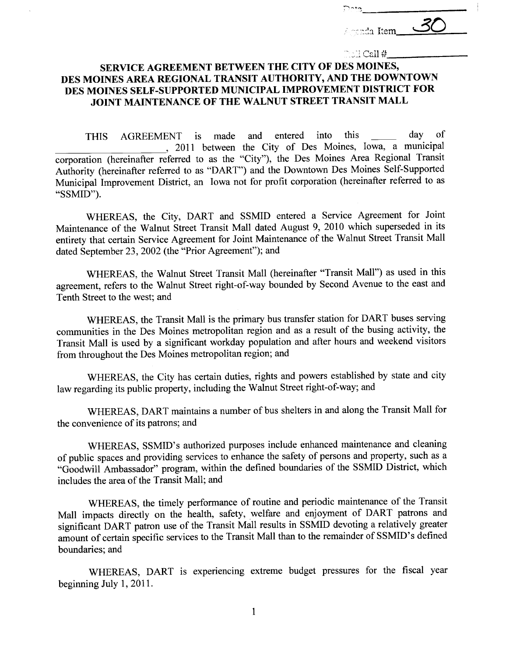| الحدثاء       |    |
|---------------|----|
| Agreeda Item_ | Z' |

 $\mathbb{R}$ SH Call # $\mathbb{I}$ 

## SERVICE AGREEMENT BETWEEN THE CITY OF DES MOINES, DES MOINES AREA REGIONAL TRANSIT AUTHORITY, AND THE DOWNTOWN DES MOINES SELF -SUPPORTED MUNICIPAL IMPROVEMENT DISTRICT FOR JOINT MAINTENANCE OF THE WALNUT STREET TRANSIT MALL

THIS AGREEMENT is made and entered into this \_\_\_\_\_ day of , 2011 between the City of Des Moines, Iowa, a municipal corporation (hereinafter referred to as the "City"), the Des Moines Area Regional Transit Authority (hereinafter referred to as "DART") and the Downtown Des Moines Self-Supported Municipal Improvement District, an Iowa not for profit corporation (hereinafter referred to as "SSMID").

WHEREAS, the City, DART and SSMID entered a Service Agreement for Joint Maintenance of the Walnut Street Transit Mall dated August 9, 2010 which superseded in its entirety that certain Service Agreement for Joint Maintenance of the Walnut Street Transit Mall dated September 23,2002 (the "Prior Agreement"); and

WHEREAS, the Walnut Street Transit Mall (hereinafter "Transit Mall") as used in this agreement, refers to the Walnut Street right-of-way bounded by Second Avenue to the east and Tenth Street to the west; and

WHEREAS, the Transit Mall is the primary bus transfer station for DART buses serving communities in the Des Moines metropolitan region and as a result of the busing activity, the Transit Mall is used by a significant workday population and after hours and weekend visitors from throughout the Des Moines metropolitan region; and

WHEREAS, the City has certain duties, rights and powers established by state and city law regarding its public property, including the Walnut Street right-of-way; and

WHEREAS, DART maintains a number of bus shelters in and along the Transit Mall for the convenience of its patrons; and

WHEREAS, SSMID's authorized puroses include enhanced maintenance and cleaning of public spaces and providing services to enhance the safety of persons and property, such as a "Goodwill Ambassador" program, within the defined boundaries of the SSMID District, which includes the area of the Transit Mall; and

WHEREAS, the timely performance of routine and periodic maintenance of the Transit Mall impacts directly on the health, safety, welfare and enjoyment of DART patrons and significant DART patron use of the Transit Mall results in SSMID devoting a relatively greater amount of certain specific services to the Transit Mall than to the remainder of SSMID's defined boundaries; and

WHEREAS, DART is experiencing extreme budget pressures for the fiscal year beginning July 1,2011.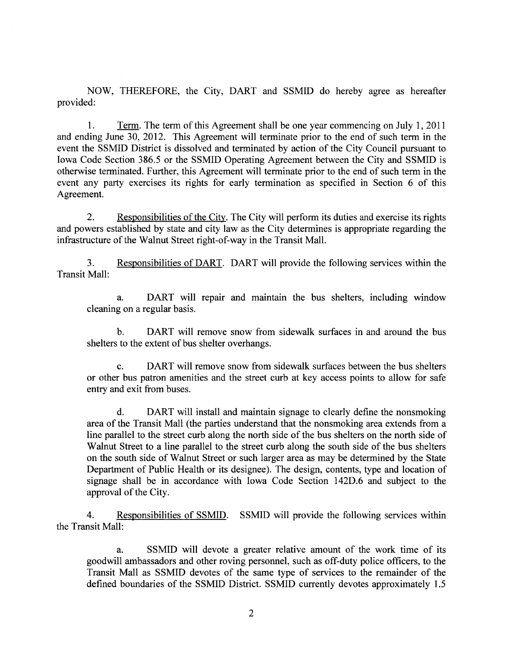NOW, THEREFORE, the City, DART and SSMID do hereby agree as hereafter provided:

1. Term. The term of this Agreement shall be one year commencing on July 1,2011 and ending June 30, 2012. This Agreement will terminate prior to the end of such term in the event the SSMID District is dissolved and terminated by action of the City Council pursuant to Iowa Code Section 386.5 or the SSMID Operating Agreement between the City and SSMID is otherwise terminated. Further, this Agreement will terminate prior to the end of such term in the event any party exercises its rights for early termination as specified in Section 6 of this Agreement.

2. Responsibilities of the City. The City will perform its duties and exercise its rights and powers established by state and city law as the City determines is appropriate regarding the infrastructure of the Walnut Street right-of-way in the Transit Mall.

3. Responsibilities of DART. DART will provide the following services within the Transit Mall:

a. DART will repair and maintain the bus shelters, including window cleaning on a regular basis.

b. DART will remove snow from sidewalk surfaces in and around the bus shelters to the extent of bus shelter overhangs.

c. DART will remove snow from sidewalk surfaces between the bus shelters or other bus patron amenities and the street curb at key access points to allow for safe entry and exit from buses.

d. DART will install and maintain signage to clearly define the nonsmoking area of the Transit Mall (the paries understand that the nonsmoking area extends from a line parallel to the street curb along the north side of the bus shelters on the north side of Walnut Street to a line parallel to the street curb along the south side of the bus shelters on the south side of Walnut Street or such larger area as may be determined by the State Department of Public Health or its designee). The design, contents, type and location of signage shall be in accordance with Iowa Code Section 142D.6 and subject to the approval of the City.

4. Responsibilities of SSMID. SSMID wil provide the following services within the Transit Mall:

a. SSMID will devote a greater relative amount of the work time of its goodwill ambassadors and other roving personnel, such as off-duty police officers, to the Transit Mall as SSMID devotes of the same type of services to the remainder of the defined boundaries of the SSMID District. SSMID currently devotes approximately 1.5

2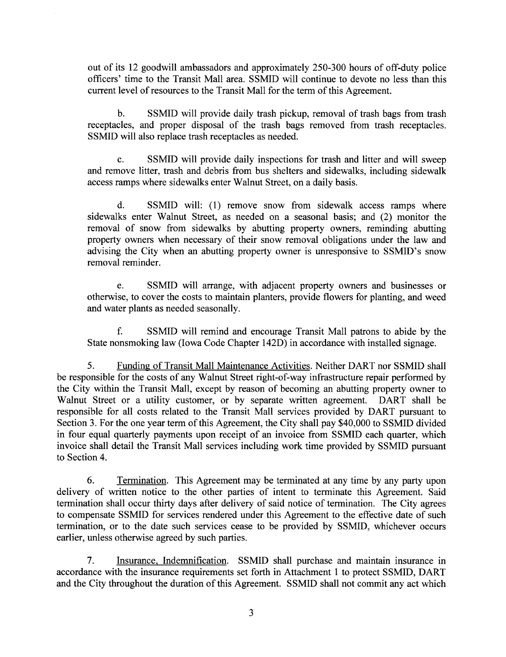out of its 12 goodwill ambassadors and approximately 250-300 hours of off-duty police officers' time to the Transit Mall area. SSMID wil continue to devote no less than this current level of resources to the Transit Mall for the term of this Agreement.

b. SSMID will provide daily trash pickup, removal of trash bags from trash receptacles, and proper disposal of the trash bags removed from trash receptacles. SSMID will also replace trash receptacles as needed.

c. SSMID will provide daily inspections for trash and litter and will sweep and remove litter, trash and debris from bus shelters and sidewalks, including sidewalk access ramps where sidewalks enter Walnut Street, on a daily basis.

d. SSMID wil: (1) remove snow from sidewalk access ramps where sidewalks enter Walnut Street, as needed on a seasonal basis; and (2) monitor the removal of snow from sidewalks by abutting property owners, reminding abutting property owners when necessary of their snow removal obligations under the law and advising the City when an abutting property owner is unresponsive to SSMID's snow removal reminder.

e. SSMID will arrange, with adjacent property owners and businesses or otherwise, to cover the costs to maintain planters, provide flowers for planting, and weed and water plants as needed seasonally.

f. SSMID wil remind and encourage Transit Mall patrons to abide by the State nonsmoking law (Iowa Code Chapter 142D) in accordance with installed signage.

5. Funding of Transit Mall Maintenance Activities. Neither DART nor SSMID shall be responsible for the costs of any Walnut Street right-of-way infrastructure repair performed by the City within the Transit Mall, except by reason of becoming an abutting property owner to Walnut Street or a utility customer, or by separate written agreement. DART shall be responsible for all costs related to the Transit Mall services provided by DART pursuant to Section 3. For the one year term of this Agreement, the City shall pay \$40,000 to SSMID divided in four equal quarterly payments upon receipt of an invoice from SSMID each quarter, which invoice shall detail the Transit Mall services including work time provided by SSMID pursuant to Section 4.

6. Termination. This Agreement may be terminated at any time by any party upon delivery of written notice to the other parties of intent to terminate this Agreement. Said termination shall occur thirty days after delivery of said notice of termination. The City agrees to compensate SSMID for services rendered under this Agreement to the effective date of such termination, or to the date such services cease to be provided by SSMID, whichever occurs earlier, unless otherwise agreed by such parties.

7. Insurance. Indemnification. SSMID shall purchase and maintain insurance in accordance with the insurance requirements set forth in Attachment 1 to protect SSMID, DART and the City throughout the duration of this Agreement. SSMID shall not commit any act which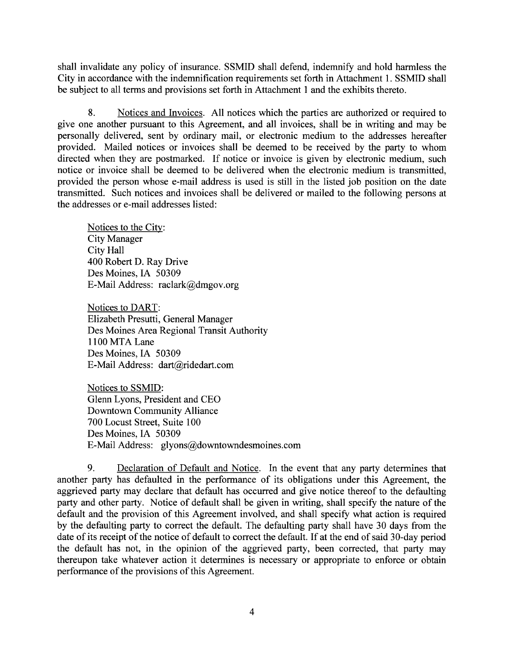shall invalidate any policy of insurance. SSMID shall defend, indemnify and hold harmless the City in accordance with the indemnification requirements set forth in Attachment 1. SSMID shall be subject to all terms and provisions set forth in Attachment 1 and the exhibits thereto.

8. Notices and Invoices. All notices which the parties are authorized or required to give one another pursuant to this Agreement, and all invoices, shall be in writing and may be personally delivered, sent by ordinary mail, or electronic medium to the addresses hereafter provided. Mailed notices or invoices shall be deemed to be received by the party to whom directed when they are postmarked. If notice or invoice is given by electronic medium, such notice or invoice shall be deemed to be delivered when the electronic medium is transmitted, provided the person whose e-mail address is used is stil in the listed job position on the date transmitted. Such notices and invoices shall be delivered or mailed to the following persons at the addresses or e-mail addresses listed:

Notices to the City: City Manager City Hall 400 Robert D. Ray Drive Des Moines, IA 50309 E-Mail Address: raclark@dmgov.org

Notices to DART: Elizabeth Presutti, General Manager Des Moines Area Regional Transit Authority 1100 MTA Lane Des Moines, IA 50309 E-Mail Address: dart@ridedart.com

Notices to SSMID: Glenn Lyons, President and CEO Downtown Community Allance 700 Locust Street, Suite 100 Des Moines, IA 50309 E-Mail Address: glyons@downtowndesmoines.com

9. Declaration of Default and Notice. In the event that any party determines that another party has defaulted in the performance of its obligations under this Agreement, the aggrieved pary may declare that default has occurred and give notice thereof to the defaulting party and other party. Notice of default shall be given in writing, shall specify the nature of the default and the provision of this Agreement involved, and shall specify what action is required by the defaulting party to correct the default. The defaulting party shall have 30 days from the date of its receipt of the notice of default to correct the default. If at the end of said 30-day period the default has not, in the opinion of the aggrieved pary, been corrected, that party may thereupon take whatever action it determines is necessary or appropriate to enforce or obtain performance of the provisions of this Agreement.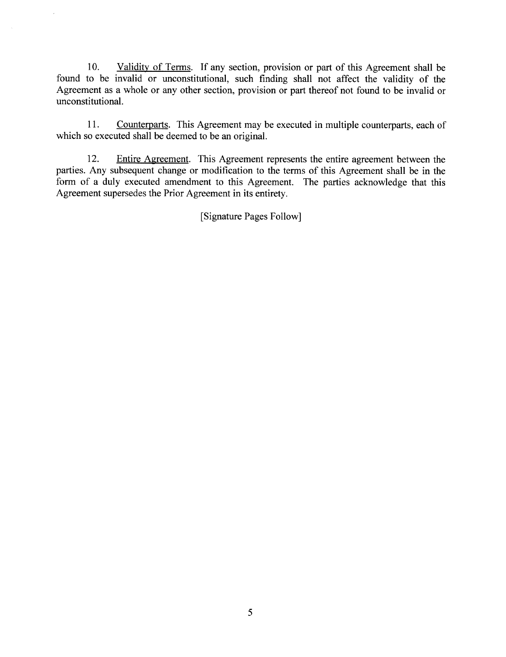10. Validity of Terms. If any section, provision or part of this Agreement shall be found to be invalid or unconstitutional, such finding shall not affect the validity of the Agreement as a whole or any other section, provision or part thereof not found to be invalid or unconstitutionaL.

11. Counterparts. This Agreement may be executed in multiple counterpars, each of which so executed shall be deemed to be an original.

12. Entire Agreement. This Agreement represents the entire agreement between the parties. Any subsequent change or modification to the terms of this Agreement shall be in the form of a duly executed amendment to this Agreement. The paries acknowledge that this Agreement supersedes the Prior Agreement in its entirety.

(Signature Pages Follow)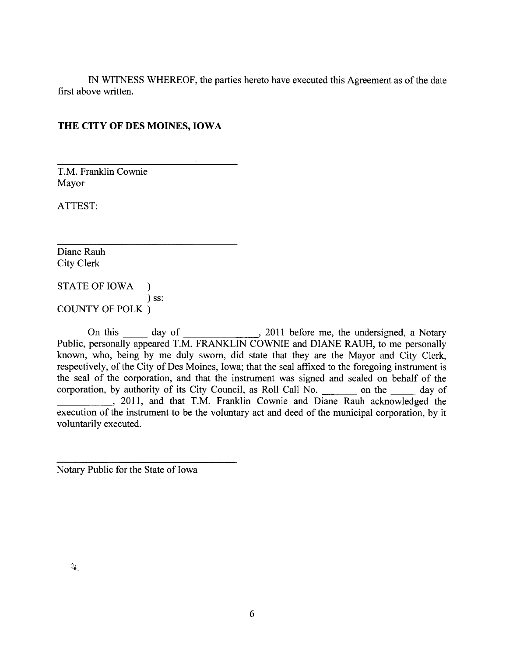IN WITNESS WHEREOF, the parties hereto have executed this Agreement as of the date first above written.

#### THE CITY OF DES MOINES, IOWA

T.M. Franklin Cownie Mayor

ATTEST:

Diane Rauh City Clerk

STATE OF IOWA ) ) ss: COUNTY OF POLK )

On this day of , 2011 before me, the undersigned, a Notary Public, personally appeared T.M. FRANKLIN COWNIE and DIANE RAUH, to me personally known, who, being by me duly sworn, did state that they are the Mayor and City Clerk, respectively, of the City of Des Moines, Iowa; that the seal affixed to the foregoing instrument is the seal of the corporation, and that the instrument was signed and sealed on behalf of the corporation, by authority of its City Council, as Roll Call No. \_\_\_\_\_\_\_\_ on the \_\_\_\_\_\_ day of , 2011, and that T.M. Franklin Cownie and Diane Rauh acknowledged the execution of the instrument to be the voluntary act and deed of the municipal corporation, by it voluntarily executed.

Notary Public for the State of Iowa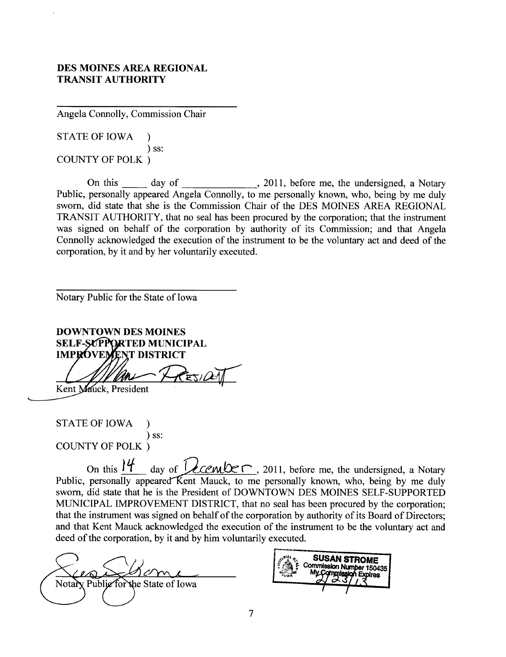#### DES MOINES AREA REGIONAL TRANSIT AUTHORITY

Angela Connolly, Commission Chair

STATE OF IOWA ) ) ss: COUNTY OF POLK)

On this \_\_\_\_\_\_ day of \_\_\_\_\_\_\_\_\_\_\_\_\_\_, 2011, before me, the undersigned, a Notary Public, personally appeared Angela Connolly, to me personally known, who, being by me duly sworn, did state that she is the Commission Chair of the DES MOINES AREA REGIONAL TRANSIT AUTHORITY, that no seal has been procured by the corporation; that the instrument was signed on behalf of the corporation by authority of its Commission; and that Angela Connolly acknowledged the execution of the instrument to be the voluntary act and deed of the corporation, by it and by her voluntarily executed.

Notary Public for the State of Iowa

DOWNTOWN DES MOINES SELF-SUPPORTED MUNICIPAL **IMPROVEMENT DISTRICT** 

Kent Mauck, President

STATE OF IOWA ) ) ss: COUNTY OF POLK)

On this  $14$  day of  $\sqrt{2\pi}$ , 2011, before me, the undersigned, a Notary Public, personally appeared Kent Mauck, to me personally known, who, being by me duly sworn, did state that he is the President of DOWNTOWN DES MOINES SELF-SUPPORTED MUNICIPAL IMPROVEMENT DISTRICT, that no seal has been procured by the corporation; that the instrument was signed on behalf of the corporation by authority of its Board of Directors; and that Kent Mauck acknowledged the execution of the instrument to be the voluntary act and deed of the corporation, by it and by him voluntarily executed.

Notary Public for the State of Iowa

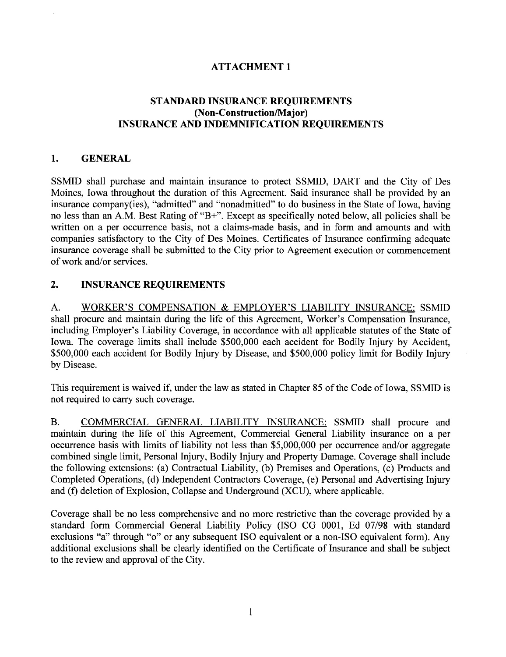## ATTACHMENT 1

## STANDARD INSURANCE REQUIREMENTS (Non-Construction/Major) INSURANCE AND INDEMNIFICATION REQUIREMENTS

#### 1. GENERAL

SSMID shall purchase and maintain insurance to protect SSMID, DART and the City of Des Moines, Iowa throughout the duration of this Agreement. Said insurance shall be provided by an insurance company(ies), "admitted" and "nonadmitted" to do business in the State of Iowa, having no less than an A.M. Best Rating of "B+". Except as specifically noted below, all policies shall be written on a per occurrence basis, not a claims-made basis, and in form and amounts and with companies satisfactory to the City of Des Moines. Certificates of Insurance confirming adequate insurance coverage shall be submitted to the City prior to Agreement execution or commencement of work and/or services.

## 2. INSURANCE REQUIREMENTS

A. WORKER'S COMPENSATION & EMPLOYER'S LIABILITY INSURANCE: SSMID shall procure and maintain during the life of this Agreement, Worker's Compensation Insurance, including Employer's Liability Coverage, in accordance with all applicable statutes of the State of Iowa. The coverage limits shall include \$500,000 each accident for Bodily Injury by Accident, \$500,000 each accident for Bodily Injury by Disease, and \$500,000 policy limit for Bodily Injury by Disease.

This requirement is waived if, under the law as stated in Chapter 85 of the Code of Iowa, SSMID is not required to carry such coverage.

B. COMMERCIAL GENERAL LIABILITY INSURANCE: SSMID shall procure and maintain during the life of this Agreement, Commercial General Liability insurance on a per occurence basis with limits of liability not less than \$5,000,000 per occurrence and/or aggregate combined single limit, Personal Injury, Bodily Injury and Property Damage. Coverage shall include the following extensions: (a) Contractual Liability, (b) Premises and Operations, (c) Products and Completed Operations, (d) Independent Contractors Coverage, (e) Personal and Advertising Injur and (f) deletion of Explosion, Collapse and Underground (XCU), where applicable.

Coverage shall be no less comprehensive and no more restrictive than the coverage provided by a standard form Commercial General Liability Policy (ISO CG 0001, Ed 07/98 with standard exclusions "a" through "o" or any subsequent ISO equivalent or a non-ISO equivalent form). Any additional exclusions shall be clearly identified on the Certificate of Insurance and shall be subject to the review and approval of the City.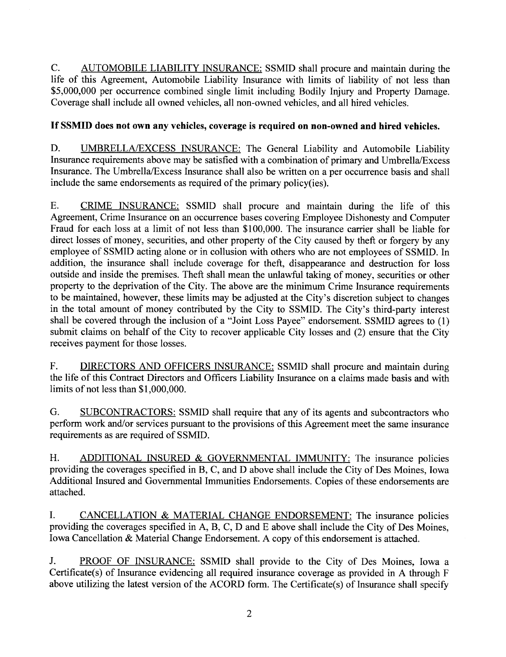C. AUTOMOBILE LIABILITY INSURANCE: SSMID shall procure and maintain during the life of this Agreement, Automobile Liability Insurance with limits of liability of not less than \$5,000,000 per occurrence combined single limit including Bodily Injury and Property Damage. Coverage shall include all owned vehicles, all non-owned vehicles, and all hired vehicles.

#### If SSMID does not own any vehicles, coverage is required on non-owned and hired vehicles.

D. UMBRELLA/EXCESS INSURANCE: The General Liability and Automobile Liability Insurance requirements above may be satisfied with a combination of primary and Umbrella/Excess Insurance. The Umbrella/Excess Insurance shall also be written on a per occurence basis and shall include the same endorsements as required of the primary policy(ies).

E. CRIME INSURANCE: SSMID shall procure and maintain during the life of this Agreement, Crime Insurance on an occurrence bases covering Employee Dishonesty and Computer Fraud for each loss at a limit of not less than \$100,000. The insurance carrier shall be liable for direct losses of money, securities, and other property of the City caused by theft or forgery by any employee of SSMID acting alone or in collusion with others who are not employees of SSMID. In addition, the insurance shall include coverage for theft, disappearance and destruction for loss outside and inside the premises. Theft shall mean the unlawful taking of money, securities or other property to the deprivation of the City. The above are the minimum Crime Insurance requirements to be maintained, however, these limits may be adjusted at the City's discretion subject to changes in the total amount of money contributed by the City to SSMID. The City's third-party interest shall be covered through the inclusion of a "Joint Loss Payee" endorsement. SSMID agrees to (1) submit claims on behalf of the City to recover applicable City losses and (2) ensure that the City receives payment for those losses.

F. DIRECTORS AND OFFICERS INSURANCE: SSMID shall procure and maintain during the life of this Contract Directors and Officers Liability Insurance on a claims made basis and with limits of not less than \$1,000,000.

G. SUBCONTRACTORS: SSMID shall require that any of its agents and subcontractors who perform work and/or services pursuant to the provisions of this Agreement meet the same insurance requirements as are required of SSMID.

H. ADDITIONAL INSURED & GOVERNMENTAL IMMUNITY: The insurance policies providing the coverages specified in B, C, and D above shall include the City of Des Moines, Iowa Additional Insured and Governmental Immunities Endorsements. Copies of these endorsements are attached.

1. CANCELLATION & MATERIAL CHANGE ENDORSEMENT: The insurance policies providing the coverages specified in A, B, C, D and E above shall include the City of Des Moines, Iowa Cancellation & Material Change Endorsement. A copy of this endorsement is attached.

J. PROOF OF INSURANCE: SSMID shall provide to the City of Des Moines, Iowa a Certificate(s) of Insurance evidencing all required insurance coverage as provided in A through F above utilizing the latest version of the ACORD form. The Certificate $(s)$  of Insurance shall specify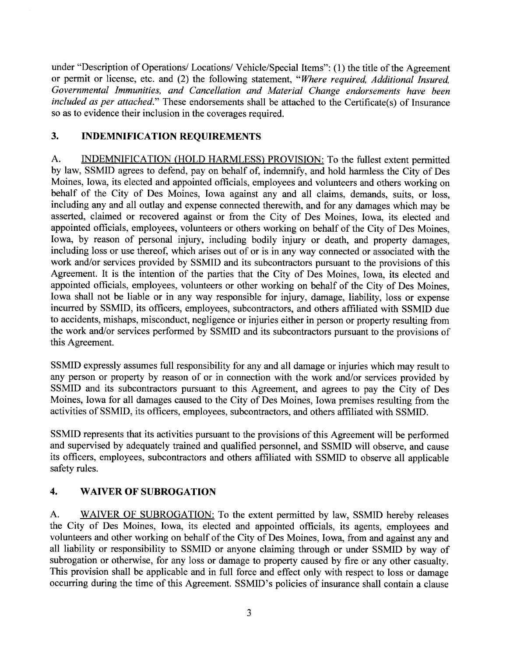under "Description of Operations/ Locations/ Vehicle/Special Items": (1) the title of the Agreement or permit or license, etc. and (2) the following statement, "Where required, Additional Insured, Governmental Immunities, and Cancellation and Material Change endorsements have been included as per attached." These endorsements shall be attached to the Certificate(s) of Insurance so as to evidence their inclusion in the coverages required.

## 3. INDEMNIFICATION REQUIREMENTS

A. INDEMNIFICATION (HOLD HARMLESS) PROVISION: To the fullest extent permitted by law, SSMID agrees to defend, pay on behalf of, indemnify, and hold harmless the City of Des Moines, Iowa, its elected and appointed officials, employees and volunteers and others working on behalf of the City of Des Moines, Iowa against any and all claims, demands, suits, or loss, including any and all outlay and expense connected therewith, and for any damages which may be asserted, claimed or recovered against or from the City of Des Moines, Iowa, its elected and appointed officials, employees, volunteers or others working on behalf of the City of Des Moines, Iowa, by reason of personal injury, including bodily injury or death, and property damages, including loss or use thereof, which arises out of or is in any way connected or associated with the work and/or services provided by SSMID and its subcontractors pursuant to the provisions of this Agreement. It is the intention of the parties that the City of Des Moines, Iowa, its elected and appointed officials, employees, volunteers or other working on behalf of the City of Des Moines, Iowa shall not be liable or in any way responsible for injury, damage, liability, loss or expense incurred by SSMID, its officers, employees, subcontractors, and others affiliated with SSMID due to accidents, mishaps, misconduct, negligence or injuries either in person or property resulting from the work and/or services performed by SSMID and its subcontractors pursuant to the provisions of this Agreement.

SSMID expressly assumes full responsibility for any and all damage or injuries which may result to any person or property by reason of or in connection with the work and/or services provided by SSMID and its subcontractors pursuant to this Agreement, and agrees to pay the City of Des Moines, Iowa for all damages caused to the City of Des Moines, Iowa premises resulting from the activities of SSMID, its officers, employees, subcontractors, and others affliated with SSMID.

SSMID represents that its activities pursuant to the provisions of this Agreement will be performed and supervised by adequately trained and qualified personnel, and SSMID wil observe, and cause its officers, employees, subcontractors and others affiiated with SSMID to observe all applicable safety rules.

# 4. WAIVER OF SUBROGATION

A. WAIVER OF SUBROGATION: To the extent permitted by law, SSMID hereby releases the City of Des Moines, Iowa, its elected and appointed officials, its agents, employees and volunteers and other working on behalf of the City of Des Moines, Iowa, from and against any and all liability or responsibility to SSMID or anyone claiming through or under SSMID by way of subrogation or otherwise, for any loss or damage to property caused by fire or any other casualty. This provision shall be applicable and in full force and effect only with respect to loss or damage occurring during the time of this Agreement. SSMID's policies of insurance shall contain a clause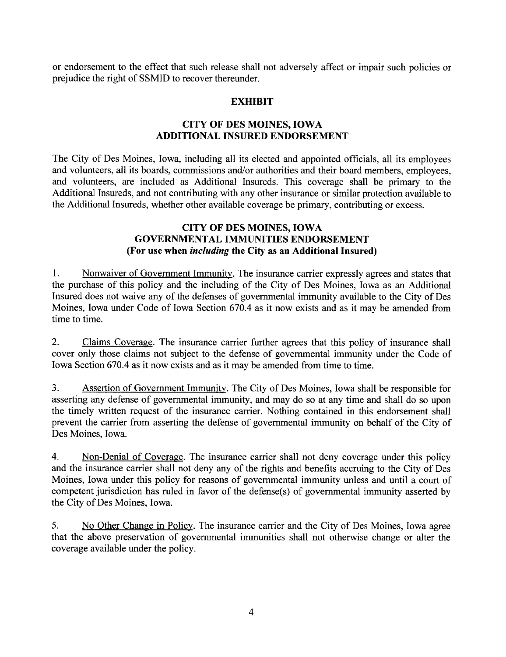or endorsement to the effect that such release shall not adversely affect or impair such policies or prejudice the right of SSMID to recover thereunder.

#### EXHIBIT

#### CITY OF DES MOINES, IOWA ADDITIONAL INSURED ENDORSEMENT

The City of Des Moines, Iowa, including all its elected and appointed officials, all its employees and volunteers, all its boards, commissions and/or authorities and their board members, employees, and volunteers, are included as Additional Insureds. This coverage shall be primary to the Additional Insureds, and not contributing with any other insurance or similar protection available to the Additional Insureds, whether other available coverage be primary, contributing or excess.

#### CITY OF DES MOINES, IOWA GOVERNMENTAL IMMUNITIES ENDORSEMENT (For use when including the City as an Additional Insured)

1. Nonwaiver of Governent Immunity. The insurance carrier expressly agrees and states that the purchase of this policy and the including of the City of Des Moines, Iowa as an Additional Insured does not waive any of the defenses of governental immunity available to the City of Des Moines, Iowa under Code of Iowa Section 670.4 as it now exists and as it may be amended from time to time.

2. Claims Coverage. The insurance carrier further agrees that this policy of insurance shall cover only those claims not subject to the defense of governental immunity under the Code of Iowa Section 670.4 as it now exists and as it may be amended from time to time.

3. Assertion of Governent Immunity. The City of Des Moines, Iowa shall be responsible for asserting any defense of governmental immunity, and may do so at any time and shall do so upon the timely written request of the insurance carier. Nothing contained in this endorsement shall prevent the carrier from asserting the defense of governmental immunity on behalf of the City of Des Moines, Iowa.

4. Non-Denial of Coverage. The insurance carrier shall not deny coverage under this policy and the insurance carrier shall not deny any of the rights and benefits accruing to the City of Des Moines, Iowa under this policy for reasons of governmental immunity unless and until a court of competent jurisdiction has ruled in favor of the defense(s) of governmental immunity asserted by the City of Des Moines, Iowa.

5. No Other Change in Policy. The insurance carrier and the City of Des Moines, Iowa agree that the above preservation of governmental immunities shall not otherwise change or alter the coverage available under the policy.